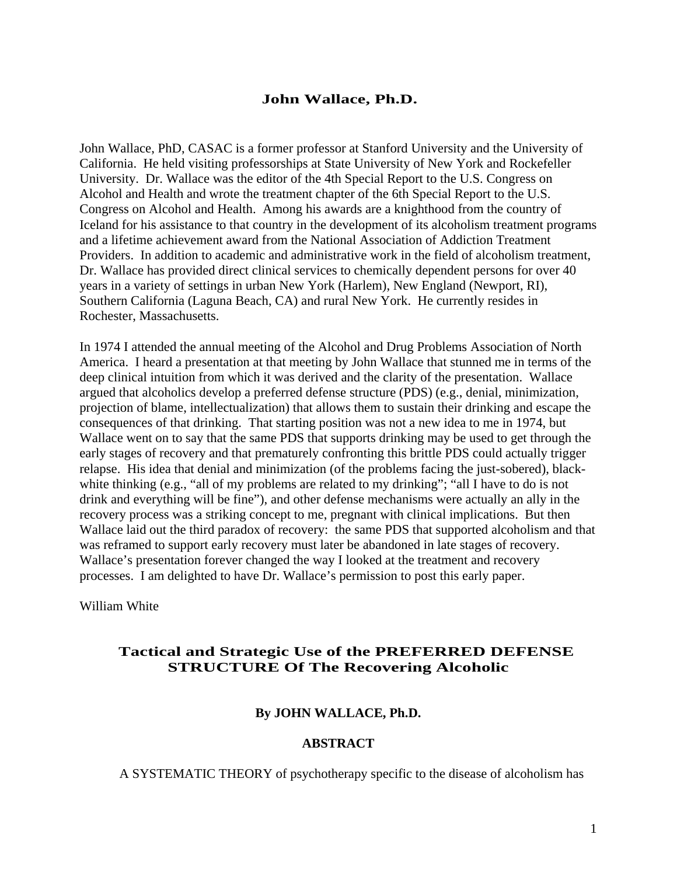## **John Wallace, Ph.D.**

John Wallace, PhD, CASAC is a former professor at Stanford University and the University of California. He held visiting professorships at State University of New York and Rockefeller University. Dr. Wallace was the editor of the 4th Special Report to the U.S. Congress on Alcohol and Health and wrote the treatment chapter of the 6th Special Report to the U.S. Congress on Alcohol and Health. Among his awards are a knighthood from the country of Iceland for his assistance to that country in the development of its alcoholism treatment programs and a lifetime achievement award from the National Association of Addiction Treatment Providers. In addition to academic and administrative work in the field of alcoholism treatment, Dr. Wallace has provided direct clinical services to chemically dependent persons for over 40 years in a variety of settings in urban New York (Harlem), New England (Newport, RI), Southern California (Laguna Beach, CA) and rural New York. He currently resides in Rochester, Massachusetts.

In 1974 I attended the annual meeting of the Alcohol and Drug Problems Association of North America. I heard a presentation at that meeting by John Wallace that stunned me in terms of the deep clinical intuition from which it was derived and the clarity of the presentation. Wallace argued that alcoholics develop a preferred defense structure (PDS) (e.g., denial, minimization, projection of blame, intellectualization) that allows them to sustain their drinking and escape the consequences of that drinking. That starting position was not a new idea to me in 1974, but Wallace went on to say that the same PDS that supports drinking may be used to get through the early stages of recovery and that prematurely confronting this brittle PDS could actually trigger relapse. His idea that denial and minimization (of the problems facing the just-sobered), blackwhite thinking (e.g., "all of my problems are related to my drinking"; "all I have to do is not drink and everything will be fine"), and other defense mechanisms were actually an ally in the recovery process was a striking concept to me, pregnant with clinical implications. But then Wallace laid out the third paradox of recovery: the same PDS that supported alcoholism and that was reframed to support early recovery must later be abandoned in late stages of recovery. Wallace's presentation forever changed the way I looked at the treatment and recovery processes. I am delighted to have Dr. Wallace's permission to post this early paper.

William White

# **Tactical and Strategic Use of the PREFERRED DEFENSE STRUCTURE Of The Recovering Alcoholic**

## **By JOHN WALLACE, Ph.D.**

## **ABSTRACT**

A SYSTEMATIC THEORY of psychotherapy specific to the disease of alcoholism has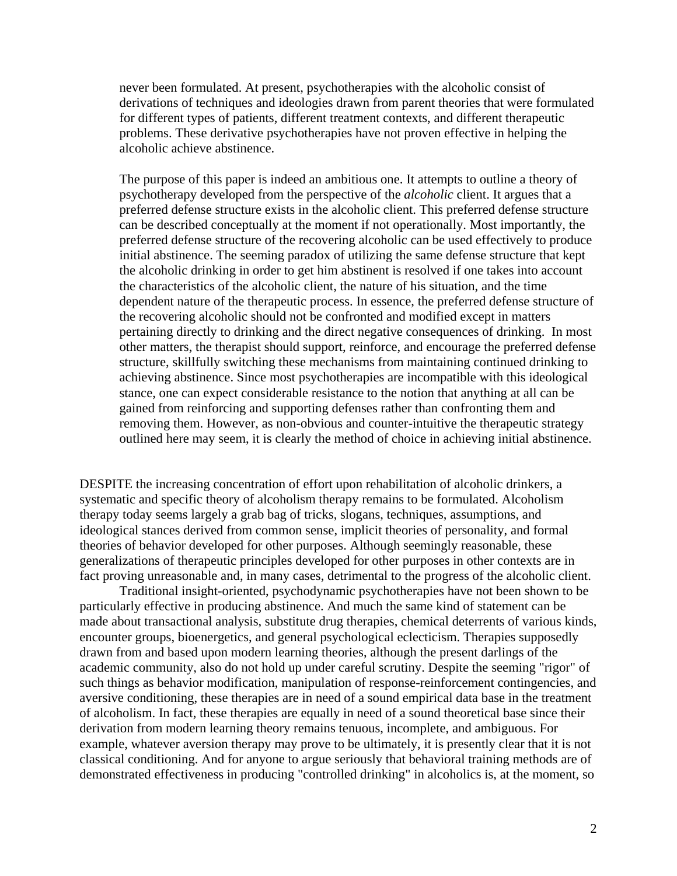never been formulated. At present, psychotherapies with the alcoholic consist of derivations of techniques and ideologies drawn from parent theories that were formulated for different types of patients, different treatment contexts, and different therapeutic problems. These derivative psychotherapies have not proven effective in helping the alcoholic achieve abstinence.

The purpose of this paper is indeed an ambitious one. It attempts to outline a theory of psychotherapy developed from the perspective of the *alcoholic* client. It argues that a preferred defense structure exists in the alcoholic client. This preferred defense structure can be described conceptually at the moment if not operationally. Most importantly, the preferred defense structure of the recovering alcoholic can be used effectively to produce initial abstinence. The seeming paradox of utilizing the same defense structure that kept the alcoholic drinking in order to get him abstinent is resolved if one takes into account the characteristics of the alcoholic client, the nature of his situation, and the time dependent nature of the therapeutic process. In essence, the preferred defense structure of the recovering alcoholic should not be confronted and modified except in matters pertaining directly to drinking and the direct negative consequences of drinking. In most other matters, the therapist should support, reinforce, and encourage the preferred defense structure, skillfully switching these mechanisms from maintaining continued drinking to achieving abstinence. Since most psychotherapies are incompatible with this ideological stance, one can expect considerable resistance to the notion that anything at all can be gained from reinforcing and supporting defenses rather than confronting them and removing them. However, as non-obvious and counter-intuitive the therapeutic strategy outlined here may seem, it is clearly the method of choice in achieving initial abstinence.

DESPITE the increasing concentration of effort upon rehabilitation of alcoholic drinkers, a systematic and specific theory of alcoholism therapy remains to be formulated. Alcoholism therapy today seems largely a grab bag of tricks, slogans, techniques, assumptions, and ideological stances derived from common sense, implicit theories of personality, and formal theories of behavior developed for other purposes. Although seemingly reasonable, these generalizations of therapeutic principles developed for other purposes in other contexts are in fact proving unreasonable and, in many cases, detrimental to the progress of the alcoholic client.

Traditional insight-oriented, psychodynamic psychotherapies have not been shown to be particularly effective in producing abstinence. And much the same kind of statement can be made about transactional analysis, substitute drug therapies, chemical deterrents of various kinds, encounter groups, bioenergetics, and general psychological eclecticism. Therapies supposedly drawn from and based upon modern learning theories, although the present darlings of the academic community, also do not hold up under careful scrutiny. Despite the seeming "rigor" of such things as behavior modification, manipulation of response-reinforcement contingencies, and aversive conditioning, these therapies are in need of a sound empirical data base in the treatment of alcoholism. In fact, these therapies are equally in need of a sound theoretical base since their derivation from modern learning theory remains tenuous, incomplete, and ambiguous. For example, whatever aversion therapy may prove to be ultimately, it is presently clear that it is not classical conditioning. And for anyone to argue seriously that behavioral training methods are of demonstrated effectiveness in producing "controlled drinking" in alcoholics is, at the moment, so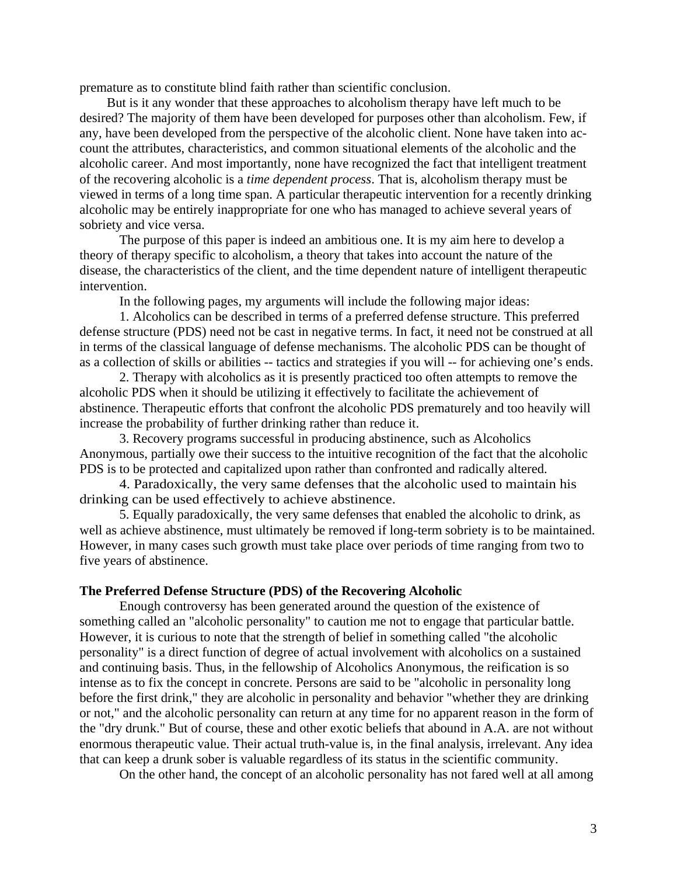premature as to constitute blind faith rather than scientific conclusion.

But is it any wonder that these approaches to alcoholism therapy have left much to be desired? The majority of them have been developed for purposes other than alcoholism. Few, if any, have been developed from the perspective of the alcoholic client. None have taken into account the attributes, characteristics, and common situational elements of the alcoholic and the alcoholic career. And most importantly, none have recognized the fact that intelligent treatment of the recovering alcoholic is a *time dependent process*. That is, alcoholism therapy must be viewed in terms of a long time span. A particular therapeutic intervention for a recently drinking alcoholic may be entirely inappropriate for one who has managed to achieve several years of sobriety and vice versa.

 The purpose of this paper is indeed an ambitious one. It is my aim here to develop a theory of therapy specific to alcoholism, a theory that takes into account the nature of the disease, the characteristics of the client, and the time dependent nature of intelligent therapeutic intervention.

In the following pages, my arguments will include the following major ideas:

1. Alcoholics can be described in terms of a preferred defense structure. This preferred defense structure (PDS) need not be cast in negative terms. In fact, it need not be construed at all in terms of the classical language of defense mechanisms. The alcoholic PDS can be thought of as a collection of skills or abilities -- tactics and strategies if you will -- for achieving one's ends.

2. Therapy with alcoholics as it is presently practiced too often attempts to remove the alcoholic PDS when it should be utilizing it effectively to facilitate the achievement of abstinence. Therapeutic efforts that confront the alcoholic PDS prematurely and too heavily will increase the probability of further drinking rather than reduce it.

3. Recovery programs successful in producing abstinence, such as Alcoholics Anonymous, partially owe their success to the intuitive recognition of the fact that the alcoholic PDS is to be protected and capitalized upon rather than confronted and radically altered.

4. Paradoxically, the very same defenses that the alcoholic used to maintain his drinking can be used effectively to achieve abstinence.

5. Equally paradoxically, the very same defenses that enabled the alcoholic to drink, as well as achieve abstinence, must ultimately be removed if long-term sobriety is to be maintained. However, in many cases such growth must take place over periods of time ranging from two to five years of abstinence.

#### **The Preferred Defense Structure (PDS) of the Recovering Alcoholic**

Enough controversy has been generated around the question of the existence of something called an "alcoholic personality" to caution me not to engage that particular battle. However, it is curious to note that the strength of belief in something called "the alcoholic personality" is a direct function of degree of actual involvement with alcoholics on a sustained and continuing basis. Thus, in the fellowship of Alcoholics Anonymous, the reification is so intense as to fix the concept in concrete. Persons are said to be "alcoholic in personality long before the first drink," they are alcoholic in personality and behavior "whether they are drinking or not," and the alcoholic personality can return at any time for no apparent reason in the form of the "dry drunk." But of course, these and other exotic beliefs that abound in A.A. are not without enormous therapeutic value. Their actual truth-value is, in the final analysis, irrelevant. Any idea that can keep a drunk sober is valuable regardless of its status in the scientific community.

On the other hand, the concept of an alcoholic personality has not fared well at all among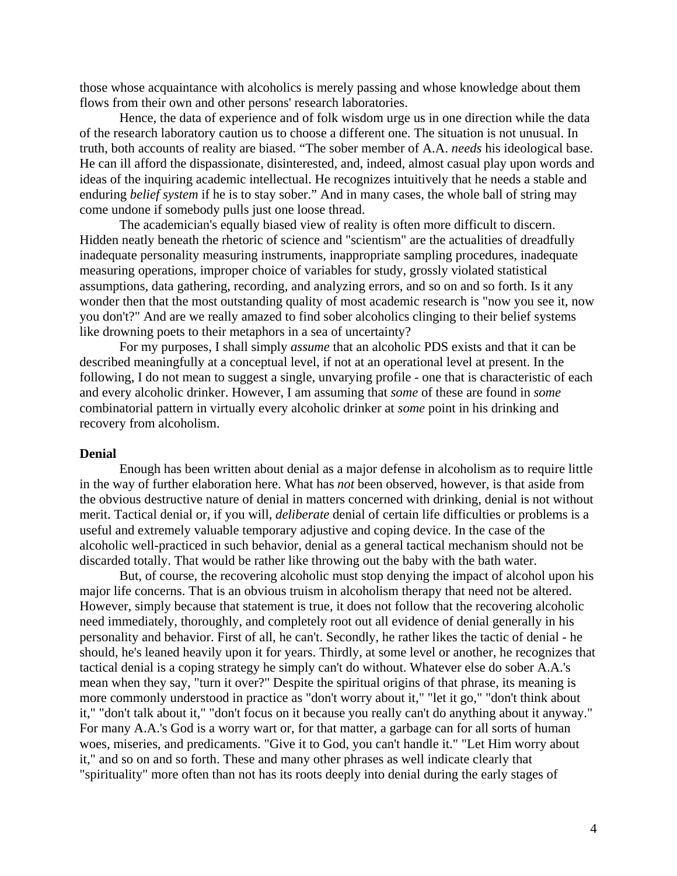those whose acquaintance with alcoholics is merely passing and whose knowledge about them flows from their own and other persons' research laboratories.

Hence, the data of experience and of folk wisdom urge us in one direction while the data of the research laboratory caution us to choose a different one. The situation is not unusual. In truth, both accounts of reality are biased. "The sober member of A.A. *needs* his ideological base. He can ill afford the dispassionate, disinterested, and, indeed, almost casual play upon words and ideas of the inquiring academic intellectual. He recognizes intuitively that he needs a stable and enduring *belief system* if he is to stay sober." And in many cases, the whole ball of string may come undone if somebody pulls just one loose thread.

The academician's equally biased view of reality is often more difficult to discern. Hidden neatly beneath the rhetoric of science and "scientism" are the actualities of dreadfully inadequate personality measuring instruments, inappropriate sampling procedures, inadequate measuring operations, improper choice of variables for study, grossly violated statistical assumptions, data gathering, recording, and analyzing errors, and so on and so forth. Is it any wonder then that the most outstanding quality of most academic research is "now you see it, now you don't?" And are we really amazed to find sober alcoholics clinging to their belief systems like drowning poets to their metaphors in a sea of uncertainty?

For my purposes, I shall simply *assume* that an alcoholic PDS exists and that it can be described meaningfully at a conceptual level, if not at an operational level at present. In the following, I do not mean to suggest a single, unvarying profile - one that is characteristic of each and every alcoholic drinker. However, I am assuming that *some* of these are found in *some*  combinatorial pattern in virtually every alcoholic drinker at *some* point in his drinking and recovery from alcoholism.

### **Denial**

 Enough has been written about denial as a major defense in alcoholism as to require little in the way of further elaboration here. What has *not* been observed, however, is that aside from the obvious destructive nature of denial in matters concerned with drinking, denial is not without merit. Tactical denial or, if you will, *deliberate* denial of certain life difficulties or problems is a useful and extremely valuable temporary adjustive and coping device. In the case of the alcoholic well-practiced in such behavior, denial as a general tactical mechanism should not be discarded totally. That would be rather like throwing out the baby with the bath water.

But, of course, the recovering alcoholic must stop denying the impact of alcohol upon his major life concerns. That is an obvious truism in alcoholism therapy that need not be altered. However, simply because that statement is true, it does not follow that the recovering alcoholic need immediately, thoroughly, and completely root out all evidence of denial generally in his personality and behavior. First of all, he can't. Secondly, he rather likes the tactic of denial - he should, he's leaned heavily upon it for years. Thirdly, at some level or another, he recognizes that tactical denial is a coping strategy he simply can't do without. Whatever else do sober A.A.'s mean when they say, "turn it over?" Despite the spiritual origins of that phrase, its meaning is more commonly understood in practice as "don't worry about it," "let it go," "don't think about it," "don't talk about it," "don't focus on it because you really can't do anything about it anyway." For many A.A.'s God is a worry wart or, for that matter, a garbage can for all sorts of human woes, miseries, and predicaments. "Give it to God, you can't handle it." "Let Him worry about it," and so on and so forth. These and many other phrases as well indicate clearly that "spirituality" more often than not has its roots deeply into denial during the early stages of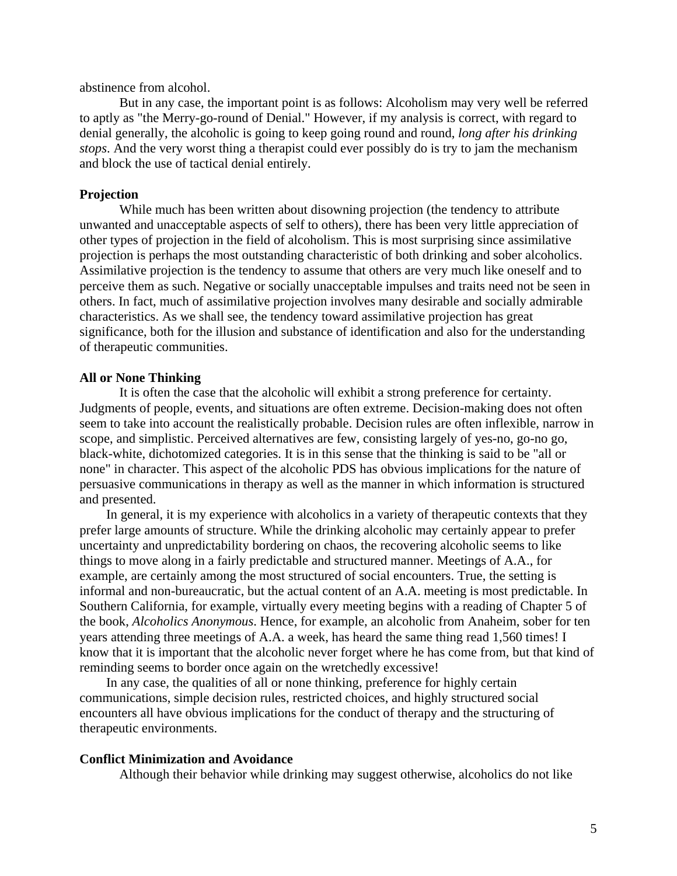abstinence from alcohol.

But in any case, the important point is as follows: Alcoholism may very well be referred to aptly as "the Merry-go-round of Denial." However, if my analysis is correct, with regard to denial generally, the alcoholic is going to keep going round and round, *long after his drinking stops*. And the very worst thing a therapist could ever possibly do is try to jam the mechanism and block the use of tactical denial entirely.

## **Projection**

While much has been written about disowning projection (the tendency to attribute unwanted and unacceptable aspects of self to others), there has been very little appreciation of other types of projection in the field of alcoholism. This is most surprising since assimilative projection is perhaps the most outstanding characteristic of both drinking and sober alcoholics. Assimilative projection is the tendency to assume that others are very much like oneself and to perceive them as such. Negative or socially unacceptable impulses and traits need not be seen in others. In fact, much of assimilative projection involves many desirable and socially admirable characteristics. As we shall see, the tendency toward assimilative projection has great significance, both for the illusion and substance of identification and also for the understanding of therapeutic communities.

### **All or None Thinking**

It is often the case that the alcoholic will exhibit a strong preference for certainty. Judgments of people, events, and situations are often extreme. Decision-making does not often seem to take into account the realistically probable. Decision rules are often inflexible, narrow in scope, and simplistic. Perceived alternatives are few, consisting largely of yes-no, go-no go, black-white, dichotomized categories. It is in this sense that the thinking is said to be "all or none" in character. This aspect of the alcoholic PDS has obvious implications for the nature of persuasive communications in therapy as well as the manner in which information is structured and presented.

In general, it is my experience with alcoholics in a variety of therapeutic contexts that they prefer large amounts of structure. While the drinking alcoholic may certainly appear to prefer uncertainty and unpredictability bordering on chaos, the recovering alcoholic seems to like things to move along in a fairly predictable and structured manner. Meetings of A.A., for example, are certainly among the most structured of social encounters. True, the setting is informal and non-bureaucratic, but the actual content of an A.A. meeting is most predictable. In Southern California, for example, virtually every meeting begins with a reading of Chapter 5 of the book, *Alcoholics Anonymous*. Hence, for example, an alcoholic from Anaheim, sober for ten years attending three meetings of A.A. a week, has heard the same thing read 1,560 times! I know that it is important that the alcoholic never forget where he has come from, but that kind of reminding seems to border once again on the wretchedly excessive!

In any case, the qualities of all or none thinking, preference for highly certain communications, simple decision rules, restricted choices, and highly structured social encounters all have obvious implications for the conduct of therapy and the structuring of therapeutic environments.

#### **Conflict Minimization and Avoidance**

Although their behavior while drinking may suggest otherwise, alcoholics do not like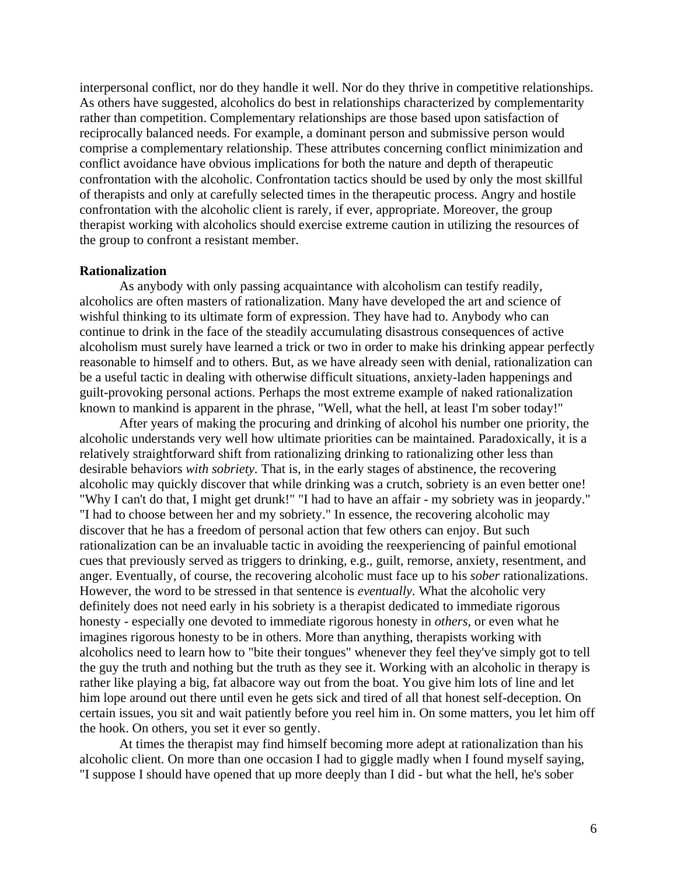interpersonal conflict, nor do they handle it well. Nor do they thrive in competitive relationships. As others have suggested, alcoholics do best in relationships characterized by complementarity rather than competition. Complementary relationships are those based upon satisfaction of reciprocally balanced needs. For example, a dominant person and submissive person would comprise a complementary relationship. These attributes concerning conflict minimization and conflict avoidance have obvious implications for both the nature and depth of therapeutic confrontation with the alcoholic. Confrontation tactics should be used by only the most skillful of therapists and only at carefully selected times in the therapeutic process. Angry and hostile confrontation with the alcoholic client is rarely, if ever, appropriate. Moreover, the group therapist working with alcoholics should exercise extreme caution in utilizing the resources of the group to confront a resistant member.

#### **Rationalization**

As anybody with only passing acquaintance with alcoholism can testify readily, alcoholics are often masters of rationalization. Many have developed the art and science of wishful thinking to its ultimate form of expression. They have had to. Anybody who can continue to drink in the face of the steadily accumulating disastrous consequences of active alcoholism must surely have learned a trick or two in order to make his drinking appear perfectly reasonable to himself and to others. But, as we have already seen with denial, rationalization can be a useful tactic in dealing with otherwise difficult situations, anxiety-laden happenings and guilt-provoking personal actions. Perhaps the most extreme example of naked rationalization known to mankind is apparent in the phrase, "Well, what the hell, at least I'm sober today!"

After years of making the procuring and drinking of alcohol his number one priority, the alcoholic understands very well how ultimate priorities can be maintained. Paradoxically, it is a relatively straightforward shift from rationalizing drinking to rationalizing other less than desirable behaviors *with sobriety.* That is, in the early stages of abstinence, the recovering alcoholic may quickly discover that while drinking was a crutch, sobriety is an even better one! "Why I can't do that, I might get drunk!" "I had to have an affair - my sobriety was in jeopardy." "I had to choose between her and my sobriety." In essence, the recovering alcoholic may discover that he has a freedom of personal action that few others can enjoy. But such rationalization can be an invaluable tactic in avoiding the reexperiencing of painful emotional cues that previously served as triggers to drinking, e.g., guilt, remorse, anxiety, resentment, and anger. Eventually, of course, the recovering alcoholic must face up to his *sober* rationalizations. However, the word to be stressed in that sentence is *eventually.* What the alcoholic very definitely does not need early in his sobriety is a therapist dedicated to immediate rigorous honesty - especially one devoted to immediate rigorous honesty in *others,* or even what he imagines rigorous honesty to be in others. More than anything, therapists working with alcoholics need to learn how to "bite their tongues" whenever they feel they've simply got to tell the guy the truth and nothing but the truth as they see it. Working with an alcoholic in therapy is rather like playing a big, fat albacore way out from the boat. You give him lots of line and let him lope around out there until even he gets sick and tired of all that honest self-deception. On certain issues, you sit and wait patiently before you reel him in. On some matters, you let him off the hook. On others, you set it ever so gently.

At times the therapist may find himself becoming more adept at rationalization than his alcoholic client. On more than one occasion I had to giggle madly when I found myself saying, "I suppose I should have opened that up more deeply than I did - but what the hell, he's sober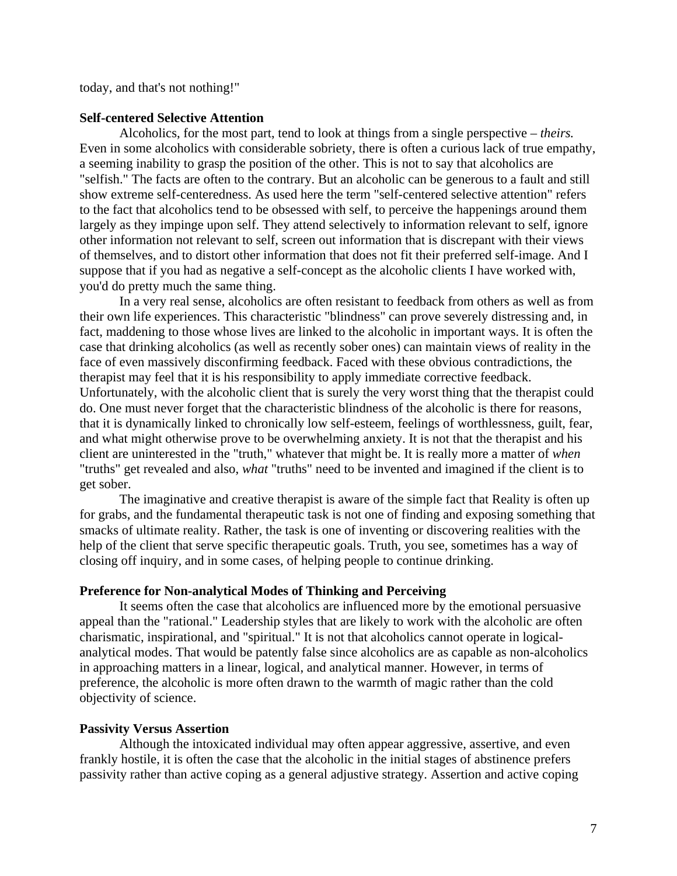today, and that's not nothing!"

## **Self-centered Selective Attention**

Alcoholics, for the most part, tend to look at things from a single perspective – *theirs.*  Even in some alcoholics with considerable sobriety, there is often a curious lack of true empathy, a seeming inability to grasp the position of the other. This is not to say that alcoholics are "selfish." The facts are often to the contrary. But an alcoholic can be generous to a fault and still show extreme self-centeredness. As used here the term "self-centered selective attention" refers to the fact that alcoholics tend to be obsessed with self, to perceive the happenings around them largely as they impinge upon self. They attend selectively to information relevant to self, ignore other information not relevant to self, screen out information that is discrepant with their views of themselves, and to distort other information that does not fit their preferred self-image. And I suppose that if you had as negative a self-concept as the alcoholic clients I have worked with, you'd do pretty much the same thing.

 In a very real sense, alcoholics are often resistant to feedback from others as well as from their own life experiences. This characteristic "blindness" can prove severely distressing and, in fact, maddening to those whose lives are linked to the alcoholic in important ways. It is often the case that drinking alcoholics (as well as recently sober ones) can maintain views of reality in the face of even massively disconfirming feedback. Faced with these obvious contradictions, the therapist may feel that it is his responsibility to apply immediate corrective feedback. Unfortunately, with the alcoholic client that is surely the very worst thing that the therapist could do. One must never forget that the characteristic blindness of the alcoholic is there for reasons, that it is dynamically linked to chronically low self-esteem, feelings of worthlessness, guilt, fear, and what might otherwise prove to be overwhelming anxiety. It is not that the therapist and his client are uninterested in the "truth," whatever that might be. It is really more a matter of *when* "truths" get revealed and also, *what* "truths" need to be invented and imagined if the client is to get sober.

The imaginative and creative therapist is aware of the simple fact that Reality is often up for grabs, and the fundamental therapeutic task is not one of finding and exposing something that smacks of ultimate reality. Rather, the task is one of inventing or discovering realities with the help of the client that serve specific therapeutic goals. Truth, you see, sometimes has a way of closing off inquiry, and in some cases, of helping people to continue drinking.

## **Preference for Non-analytical Modes of Thinking and Perceiving**

It seems often the case that alcoholics are influenced more by the emotional persuasive appeal than the "rational." Leadership styles that are likely to work with the alcoholic are often charismatic, inspirational, and "spiritual." It is not that alcoholics cannot operate in logicalanalytical modes. That would be patently false since alcoholics are as capable as non-alcoholics in approaching matters in a linear, logical, and analytical manner. However, in terms of preference, the alcoholic is more often drawn to the warmth of magic rather than the cold objectivity of science.

#### **Passivity Versus Assertion**

Although the intoxicated individual may often appear aggressive, assertive, and even frankly hostile, it is often the case that the alcoholic in the initial stages of abstinence prefers passivity rather than active coping as a general adjustive strategy. Assertion and active coping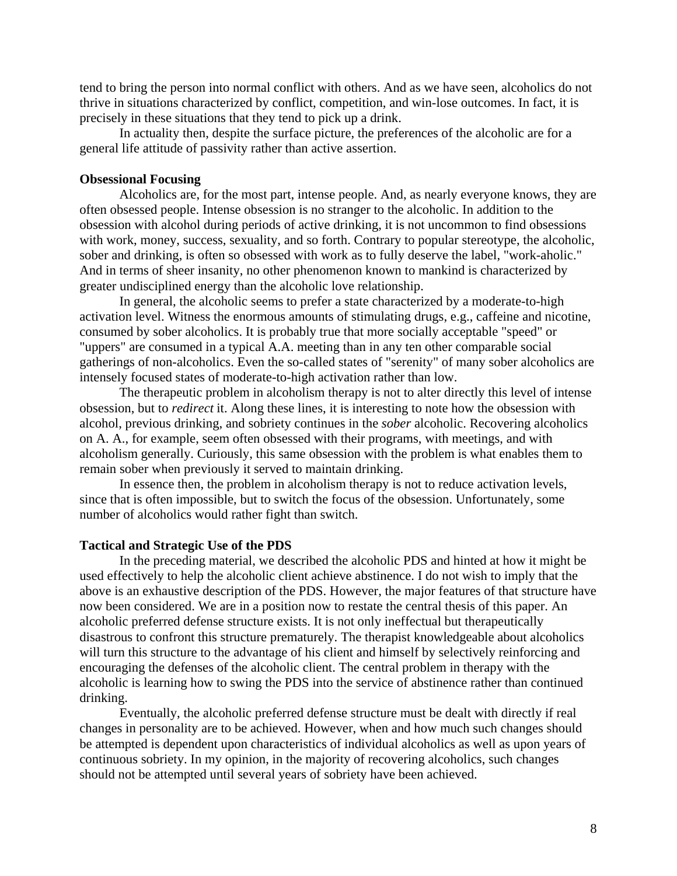tend to bring the person into normal conflict with others. And as we have seen, alcoholics do not thrive in situations characterized by conflict, competition, and win-lose outcomes. In fact, it is precisely in these situations that they tend to pick up a drink.

In actuality then, despite the surface picture, the preferences of the alcoholic are for a general life attitude of passivity rather than active assertion.

## **Obsessional Focusing**

Alcoholics are, for the most part, intense people. And, as nearly everyone knows, they are often obsessed people. Intense obsession is no stranger to the alcoholic. In addition to the obsession with alcohol during periods of active drinking, it is not uncommon to find obsessions with work, money, success, sexuality, and so forth. Contrary to popular stereotype, the alcoholic, sober and drinking, is often so obsessed with work as to fully deserve the label, "work-aholic." And in terms of sheer insanity, no other phenomenon known to mankind is characterized by greater undisciplined energy than the alcoholic love relationship.

In general, the alcoholic seems to prefer a state characterized by a moderate-to-high activation level. Witness the enormous amounts of stimulating drugs, e.g., caffeine and nicotine, consumed by sober alcoholics. It is probably true that more socially acceptable "speed" or "uppers" are consumed in a typical A.A. meeting than in any ten other comparable social gatherings of non-alcoholics. Even the so-called states of "serenity" of many sober alcoholics are intensely focused states of moderate-to-high activation rather than low.

The therapeutic problem in alcoholism therapy is not to alter directly this level of intense obsession, but to *redirect* it. Along these lines, it is interesting to note how the obsession with alcohol, previous drinking, and sobriety continues in the *sober* alcoholic. Recovering alcoholics on A. A., for example, seem often obsessed with their programs, with meetings, and with alcoholism generally. Curiously, this same obsession with the problem is what enables them to remain sober when previously it served to maintain drinking.

In essence then, the problem in alcoholism therapy is not to reduce activation levels, since that is often impossible, but to switch the focus of the obsession. Unfortunately, some number of alcoholics would rather fight than switch.

#### **Tactical and Strategic Use of the PDS**

In the preceding material, we described the alcoholic PDS and hinted at how it might be used effectively to help the alcoholic client achieve abstinence. I do not wish to imply that the above is an exhaustive description of the PDS. However, the major features of that structure have now been considered. We are in a position now to restate the central thesis of this paper. An alcoholic preferred defense structure exists. It is not only ineffectual but therapeutically disastrous to confront this structure prematurely. The therapist knowledgeable about alcoholics will turn this structure to the advantage of his client and himself by selectively reinforcing and encouraging the defenses of the alcoholic client. The central problem in therapy with the alcoholic is learning how to swing the PDS into the service of abstinence rather than continued drinking.

Eventually, the alcoholic preferred defense structure must be dealt with directly if real changes in personality are to be achieved. However, when and how much such changes should be attempted is dependent upon characteristics of individual alcoholics as well as upon years of continuous sobriety. In my opinion, in the majority of recovering alcoholics, such changes should not be attempted until several years of sobriety have been achieved.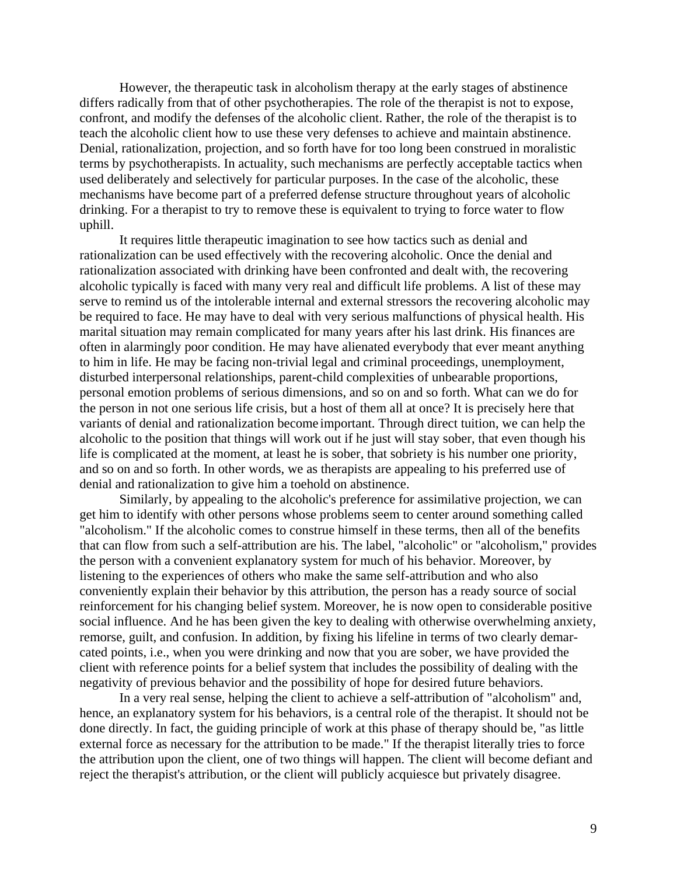However, the therapeutic task in alcoholism therapy at the early stages of abstinence differs radically from that of other psychotherapies. The role of the therapist is not to expose, confront, and modify the defenses of the alcoholic client. Rather, the role of the therapist is to teach the alcoholic client how to use these very defenses to achieve and maintain abstinence. Denial, rationalization, projection, and so forth have for too long been construed in moralistic terms by psychotherapists. In actuality, such mechanisms are perfectly acceptable tactics when used deliberately and selectively for particular purposes. In the case of the alcoholic, these mechanisms have become part of a preferred defense structure throughout years of alcoholic drinking. For a therapist to try to remove these is equivalent to trying to force water to flow uphill.

It requires little therapeutic imagination to see how tactics such as denial and rationalization can be used effectively with the recovering alcoholic. Once the denial and rationalization associated with drinking have been confronted and dealt with, the recovering alcoholic typically is faced with many very real and difficult life problems. A list of these may serve to remind us of the intolerable internal and external stressors the recovering alcoholic may be required to face. He may have to deal with very serious malfunctions of physical health. His marital situation may remain complicated for many years after his last drink. His finances are often in alarmingly poor condition. He may have alienated everybody that ever meant anything to him in life. He may be facing non-trivial legal and criminal proceedings, unemployment, disturbed interpersonal relationships, parent-child complexities of unbearable proportions, personal emotion problems of serious dimensions, and so on and so forth. What can we do for the person in not one serious life crisis, but a host of them all at once? It is precisely here that variants of denial and rationalization become important. Through direct tuition, we can help the alcoholic to the position that things will work out if he just will stay sober, that even though his life is complicated at the moment, at least he is sober, that sobriety is his number one priority, and so on and so forth. In other words, we as therapists are appealing to his preferred use of denial and rationalization to give him a toehold on abstinence.

Similarly, by appealing to the alcoholic's preference for assimilative projection, we can get him to identify with other persons whose problems seem to center around something called "alcoholism." If the alcoholic comes to construe himself in these terms, then all of the benefits that can flow from such a self-attribution are his. The label, "alcoholic" or "alcoholism," provides the person with a convenient explanatory system for much of his behavior. Moreover, by listening to the experiences of others who make the same self-attribution and who also conveniently explain their behavior by this attribution, the person has a ready source of social reinforcement for his changing belief system. Moreover, he is now open to considerable positive social influence. And he has been given the key to dealing with otherwise overwhelming anxiety, remorse, guilt, and confusion. In addition, by fixing his lifeline in terms of two clearly demarcated points, i.e., when you were drinking and now that you are sober, we have provided the client with reference points for a belief system that includes the possibility of dealing with the negativity of previous behavior and the possibility of hope for desired future behaviors.

In a very real sense, helping the client to achieve a self-attribution of "alcoholism" and, hence, an explanatory system for his behaviors, is a central role of the therapist. It should not be done directly. In fact, the guiding principle of work at this phase of therapy should be, "as little external force as necessary for the attribution to be made." If the therapist literally tries to force the attribution upon the client, one of two things will happen. The client will become defiant and reject the therapist's attribution, or the client will publicly acquiesce but privately disagree.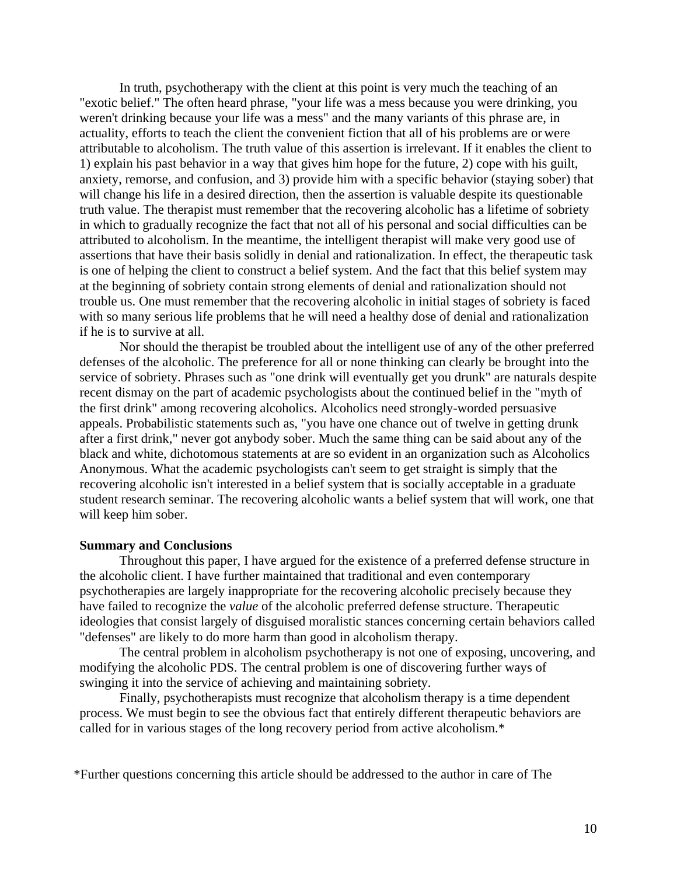In truth, psychotherapy with the client at this point is very much the teaching of an "exotic belief." The often heard phrase, "your life was a mess because you were drinking, you weren't drinking because your life was a mess" and the many variants of this phrase are, in actuality, efforts to teach the client the convenient fiction that all of his problems are or were attributable to alcoholism. The truth value of this assertion is irrelevant. If it enables the client to 1) explain his past behavior in a way that gives him hope for the future, 2) cope with his guilt, anxiety, remorse, and confusion, and 3) provide him with a specific behavior (staying sober) that will change his life in a desired direction, then the assertion is valuable despite its questionable truth value. The therapist must remember that the recovering alcoholic has a lifetime of sobriety in which to gradually recognize the fact that not all of his personal and social difficulties can be attributed to alcoholism. In the meantime, the intelligent therapist will make very good use of assertions that have their basis solidly in denial and rationalization. In effect, the therapeutic task is one of helping the client to construct a belief system. And the fact that this belief system may at the beginning of sobriety contain strong elements of denial and rationalization should not trouble us. One must remember that the recovering alcoholic in initial stages of sobriety is faced with so many serious life problems that he will need a healthy dose of denial and rationalization if he is to survive at all.

Nor should the therapist be troubled about the intelligent use of any of the other preferred defenses of the alcoholic. The preference for all or none thinking can clearly be brought into the service of sobriety. Phrases such as "one drink will eventually get you drunk" are naturals despite recent dismay on the part of academic psychologists about the continued belief in the "myth of the first drink" among recovering alcoholics. Alcoholics need strongly-worded persuasive appeals. Probabilistic statements such as, "you have one chance out of twelve in getting drunk after a first drink," never got anybody sober. Much the same thing can be said about any of the black and white, dichotomous statements at are so evident in an organization such as Alcoholics Anonymous. What the academic psychologists can't seem to get straight is simply that the recovering alcoholic isn't interested in a belief system that is socially acceptable in a graduate student research seminar. The recovering alcoholic wants a belief system that will work, one that will keep him sober.

#### **Summary and Conclusions**

Throughout this paper, I have argued for the existence of a preferred defense structure in the alcoholic client. I have further maintained that traditional and even contemporary psychotherapies are largely inappropriate for the recovering alcoholic precisely because they have failed to recognize the *value* of the alcoholic preferred defense structure. Therapeutic ideologies that consist largely of disguised moralistic stances concerning certain behaviors called "defenses" are likely to do more harm than good in alcoholism therapy.

The central problem in alcoholism psychotherapy is not one of exposing, uncovering, and modifying the alcoholic PDS. The central problem is one of discovering further ways of swinging it into the service of achieving and maintaining sobriety.

Finally, psychotherapists must recognize that alcoholism therapy is a time dependent process. We must begin to see the obvious fact that entirely different therapeutic behaviors are called for in various stages of the long recovery period from active alcoholism.\*

\*Further questions concerning this article should be addressed to the author in care of The